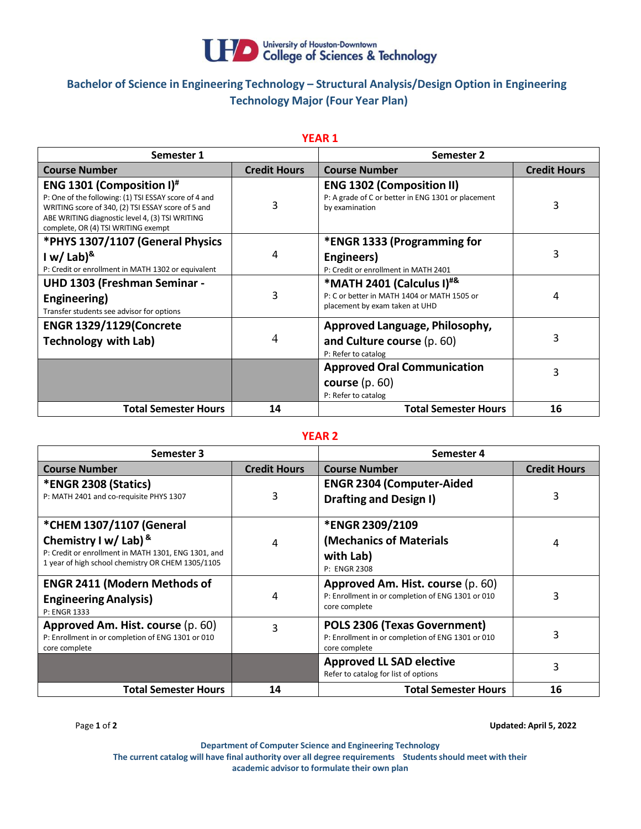

# **Bachelor of Science in Engineering Technology – Structural Analysis/Design Option in Engineering Technology Major (Four Year Plan)**

| Semester 1                                                                                                                                                                                                                                 |                     | <b>Semester 2</b>                                                                                                          |                     |
|--------------------------------------------------------------------------------------------------------------------------------------------------------------------------------------------------------------------------------------------|---------------------|----------------------------------------------------------------------------------------------------------------------------|---------------------|
| <b>Course Number</b>                                                                                                                                                                                                                       | <b>Credit Hours</b> | <b>Course Number</b>                                                                                                       | <b>Credit Hours</b> |
| <b>ENG 1301 (Composition I)</b> #<br>P: One of the following: (1) TSI ESSAY score of 4 and<br>WRITING score of 340, (2) TSI ESSAY score of 5 and<br>ABE WRITING diagnostic level 4, (3) TSI WRITING<br>complete, OR (4) TSI WRITING exempt | 3                   | <b>ENG 1302 (Composition II)</b><br>P: A grade of C or better in ENG 1301 or placement<br>by examination                   | 3                   |
| *PHYS 1307/1107 (General Physics                                                                                                                                                                                                           |                     | *ENGR 1333 (Programming for                                                                                                |                     |
| I w/ Lab) $8$                                                                                                                                                                                                                              | 4                   | Engineers)                                                                                                                 | 3                   |
| P: Credit or enrollment in MATH 1302 or equivalent                                                                                                                                                                                         |                     | P: Credit or enrollment in MATH 2401                                                                                       |                     |
| <b>UHD 1303 (Freshman Seminar -</b><br>Engineering)<br>Transfer students see advisor for options                                                                                                                                           | 3                   | *MATH 2401 (Calculus I) <sup>#&amp;</sup><br>P: C or better in MATH 1404 or MATH 1505 or<br>placement by exam taken at UHD | 4                   |
| <b>ENGR 1329/1129(Concrete</b>                                                                                                                                                                                                             |                     | Approved Language, Philosophy,                                                                                             |                     |
| <b>Technology with Lab)</b>                                                                                                                                                                                                                | 4                   | and Culture course (p. 60)<br>P: Refer to catalog                                                                          | 3                   |
|                                                                                                                                                                                                                                            |                     | <b>Approved Oral Communication</b>                                                                                         | 3                   |
|                                                                                                                                                                                                                                            |                     | course $(p. 60)$<br>P: Refer to catalog                                                                                    |                     |
| <b>Total Semester Hours</b>                                                                                                                                                                                                                | 14                  | <b>Total Semester Hours</b>                                                                                                | 16                  |

## **YEAR 1**

#### **YEAR 2**

| Semester 3                                                                                                                          |                     | Semester 4                                                                                              |                     |
|-------------------------------------------------------------------------------------------------------------------------------------|---------------------|---------------------------------------------------------------------------------------------------------|---------------------|
| <b>Course Number</b>                                                                                                                | <b>Credit Hours</b> | <b>Course Number</b>                                                                                    | <b>Credit Hours</b> |
| *ENGR 2308 (Statics)<br>P: MATH 2401 and co-requisite PHYS 1307                                                                     | 3                   | <b>ENGR 2304 (Computer-Aided</b><br><b>Drafting and Design I)</b>                                       | 3                   |
| *CHEM 1307/1107 (General                                                                                                            |                     | <b>*ENGR 2309/2109</b>                                                                                  |                     |
| Chemistry I w/ Lab) $8$<br>P: Credit or enrollment in MATH 1301, ENG 1301, and<br>1 year of high school chemistry OR CHEM 1305/1105 | 4                   | (Mechanics of Materials<br>with Lab)<br>P: ENGR 2308                                                    | 4                   |
| <b>ENGR 2411 (Modern Methods of</b><br><b>Engineering Analysis)</b><br>P: ENGR 1333                                                 | 4                   | Approved Am. Hist. course (p. 60)<br>P: Enrollment in or completion of ENG 1301 or 010<br>core complete |                     |
| Approved Am. Hist. course (p. 60)<br>P: Enrollment in or completion of ENG 1301 or 010<br>core complete                             | 3                   | POLS 2306 (Texas Government)<br>P: Enrollment in or completion of ENG 1301 or 010<br>core complete      | 3                   |
|                                                                                                                                     |                     | <b>Approved LL SAD elective</b><br>Refer to catalog for list of options                                 | 3                   |
| <b>Total Semester Hours</b>                                                                                                         | 14                  | <b>Total Semester Hours</b>                                                                             | 16                  |

Page **1** of **2 Updated: April 5, 2022**

**Department of Computer Science and Engineering Technology The current catalog will have final authority over all degree requirements Studentsshould meet with their academic advisor to formulate their own plan**